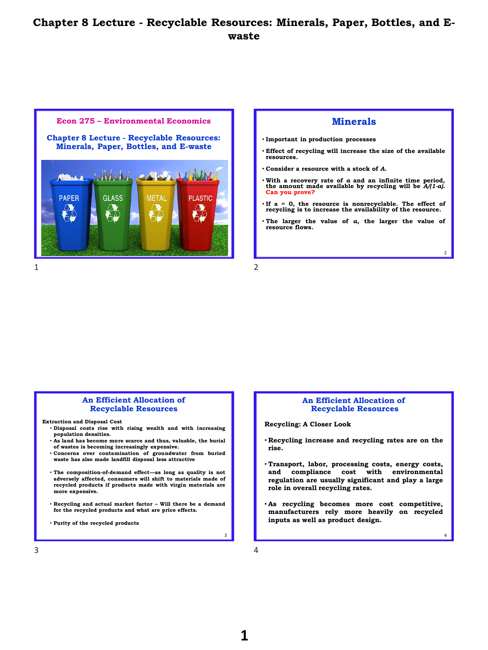



## **Minerals**

- **Important in production processes**
- **Effect of recycling will increase the size of the available resources.**
- **Consider a resource with a stock of** *A.*
- With a recovery rate of  $a$  and an infinite time period, the amount made available by recycling will be  $A/(1-a)$ . **Can you prove?**
- **If a = 0, the resource is nonrecyclable. The effect of recycling is to increase the availability of the resource.**
- **The larger the value of** *a,* **the larger the value of resource flows***.*

2

4

## **An Efficient Allocation of Recyclable Resources**

**Extraction and Disposal Cost**

- **Disposal costs rise with rising wealth and with increasing population densities.**
- **As land has become more scarce and thus, valuable, the burial of wastes is becoming increasingly expensive.** • **Concerns over contamination of groundwater from buried**
- **waste has also made landfill disposal less attractive**
- **The composition-of-demand effect—as long as quality is not adversely affected, consumers will shift to materials made of recycled products if products made with virgin materials are more expensive.**
- **Recycling and actual market factor – Will there be a demand for the recycled products and what are price effects.**

• **Purity of the recycled products**

## **An Efficient Allocation of Recyclable Resources**

**Recycling: A Closer Look**

- **Recycling increase and recycling rates are on the rise.**
- **Transport, labor, processing costs, energy costs, and compliance cost with environmental regulation are usually significant and play a large role in overall recycling rates.**
- **As recycling becomes more cost competitive, manufacturers rely more heavily on recycled inputs as well as product design.**

 $3 \overline{4}$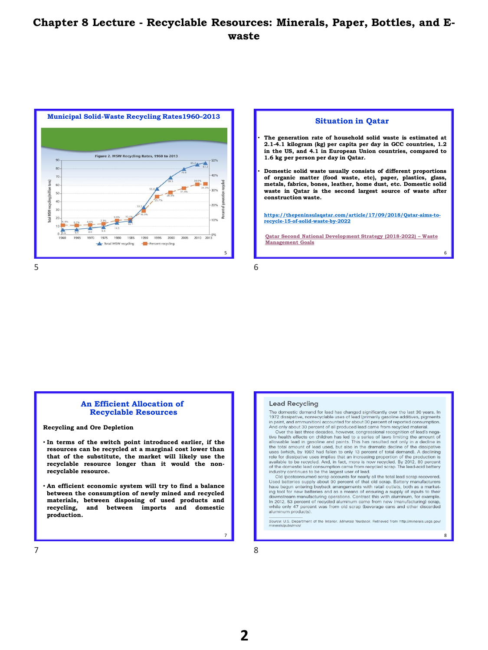

## **Situation in Qatar**

- **The generation rate of household solid waste is estimated at 2.1-4.1 kilogram (kg) per capita per day in GCC countries, 1.2 in the US, and 4.1 in European Union countries, compared to 1.6 kg per person per day in Qatar.**
- **Domestic solid waste usually consists of different proportions of organic matter (food waste, etc), paper, plastics, glass, metals, fabrics, bones, leather, home dust, etc. Domestic solid waste in Qatar is the second largest source of waste after construction waste.**

**[https://thepeninsulaqatar.com/article/17/09/2018/Qatar-aims-to](https://thepeninsulaqatar.com/article/17/09/2018/Qatar-aims-to-recycle-15-of-solid-waste-by-2022)recycle-15-of-solid-waste-by-2022**

**[Qatar Second National Development Strategy \(2018-2022\)](../Articles/WasteQatar.pdf) – Waste Management Goals**

6

8

## **An Efficient Allocation of Recyclable Resources**

**Recycling and Ore Depletion**

- **In terms of the switch point introduced earlier, if the resources can be recycled at a marginal cost lower than that of the substitute, the market will likely use the recyclable resource longer than it would the nonrecyclable resource.**
- **An efficient economic system will try to find a balance between the consumption of newly mined and recycled materials, between disposing of used products and recycling, and between imports and domestic production.**

### **Lead Recycling**

The domestic demand for lead has changed significantly over the last 30 years. In<br>1972 dissipative, nonrecyclable uses of lead (primarily gasoline additives, pigments<br>in paint, and ammunition accounted for about 30 percent

uses (which, by 1997, had fallen to only 13 percent of total demand). A declining role for dissipative uses implies that an increasing proportion of the production is available to be recycled. And, in fact, more is now rec

of the admission consumption carrelate rom relocated scrap. The lead-actio battery industry continues to be the largest user of lead.<br>Old (postconsumer) scrap accounts for nearly all the total lead scrap recovered.<br>Used ba In 2012, 53 percent of recycled aluminum came from new (manufacturing) scrap, while only 47 percent was from old scrap (beverage cans and other discarded aluminum products).

Source: U.S. Department of the Interior. Minerals Yearbook. Retrieved from http://minerals.usgs.gov/

7 8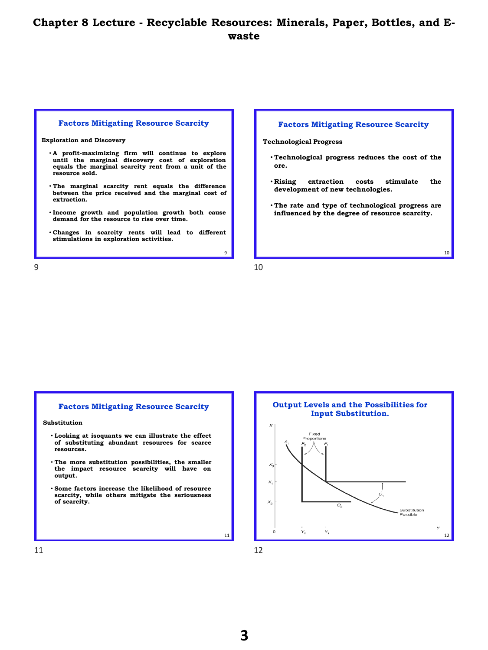### **Factors Mitigating Resource Scarcity**

**Exploration and Discovery**

- **A profit-maximizing firm will continue to explore until the marginal discovery cost of exploration equals the marginal scarcity rent from a unit of the resource sold.**
- **The marginal scarcity rent equals the difference between the price received and the marginal cost of extraction.**
- **Income growth and population growth both cause demand for the resource to rise over time.**
- **Changes in scarcity rents will lead to different stimulations in exploration activities.**

### **Factors Mitigating Resource Scarcity**

**Technological Progress**

- **Technological progress reduces the cost of the ore.**
- **Rising extraction costs stimulate the development of new technologies.**
- **The rate and type of technological progress are influenced by the degree of resource scarcity.**

10

 $9 \hspace{2.5cm} 10$ 

9

## **Factors Mitigating Resource Scarcity**

**Substitution**

- **Looking at isoquants we can illustrate the effect of substituting abundant resources for scarce resources.**
- **The more substitution possibilities, the smaller the impact resource scarcity will have on output.**
- **Some factors increase the likelihood of resource scarcity, while others mitigate the seriousness of scarcity.**



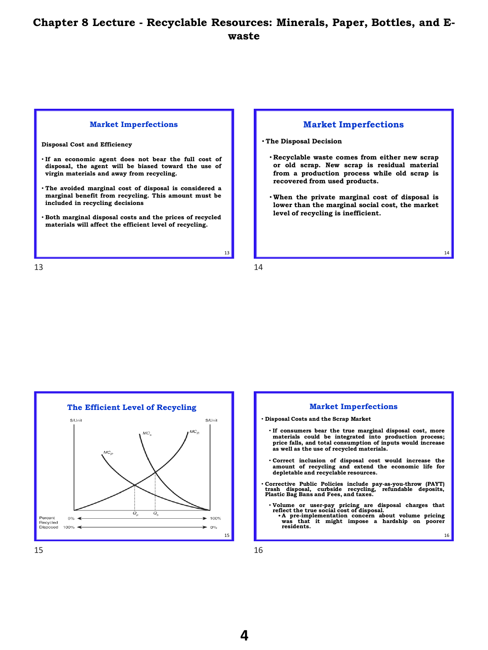### **Market Imperfections**

**Disposal Cost and Efficiency**

- **If an economic agent does not bear the full cost of disposal, the agent will be biased toward the use of virgin materials and away from recycling.**
- **The avoided marginal cost of disposal is considered a marginal benefit from recycling. This amount must be included in recycling decisions**
- **Both marginal disposal costs and the prices of recycled materials will affect the efficient level of recycling.**

 $13$  14



• **The Disposal Decision**

- **Recyclable waste comes from either new scrap or old scrap. New scrap is residual material from a production process while old scrap is recovered from used products.**
- **When the private marginal cost of disposal is lower than the marginal social cost, the market level of recycling is inefficient.**

14





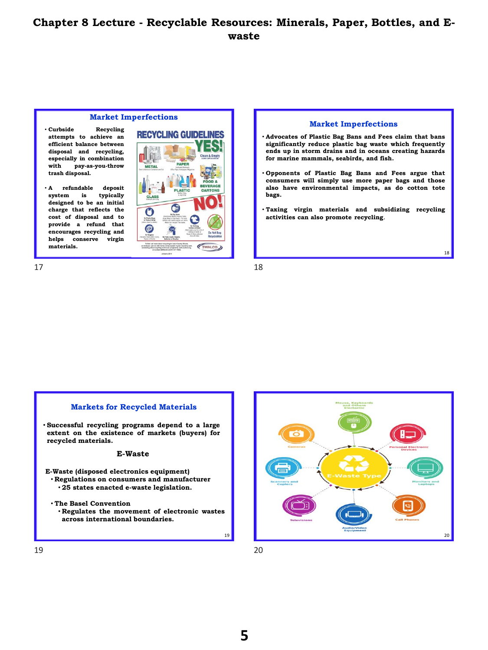## **Market Imperfections**

- **Curbside Recycling attempts to achieve an efficient balance between disposal and recycling, especially in combination with pay-as-you-throw trash disposal.**
- **A refundable deposit system is typically designed to be an initial charge that reflects the cost of disposal and to provide a refund that encourages recycling and helps conserve virgin materials.**





18

# • **Successful recycling programs depend to a large extent on the existence of markets (buyers) for recycled materials. E-Waste (disposed electronics equipment)** • **Regulations on consumers and manufacturer** • **25 states enacted e-waste legislation.** • **The Basel Convention** • **Regulates the movement of electronic wastes across international boundaries. E-Waste**

**Markets for Recycled Materials**



19